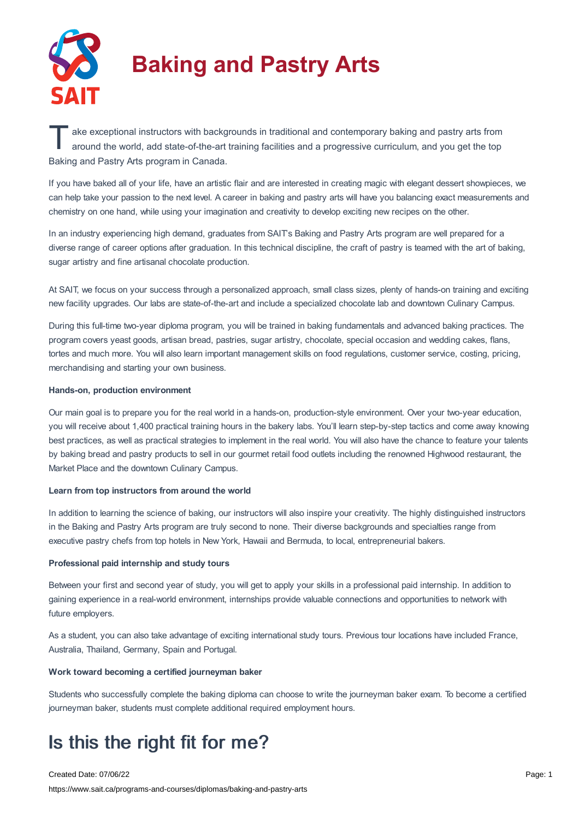

# **Baking and Pastry Arts**

ake exceptional instructors with backgrounds in traditional and contemporary baking and pastry arts from<br>around the world, add state-of-the-art training facilities and a progressive curriculum, and you get the top around the world, add state-of-the-art training facilities and a progressive curriculum, and you get the top Baking and Pastry Arts program in Canada.

If you have baked all of your life, have an artistic flair and are interested in creating magic with elegant dessert showpieces, we can help take your passion to the next level. A career in baking and pastry arts will have you balancing exact measurements and chemistry on one hand, while using your imagination and creativity to develop exciting new recipes on the other.

In an industry experiencing high demand, graduates from SAIT's Baking and Pastry Arts program are well prepared for a diverse range of career options after graduation. In this technical discipline, the craft of pastry is teamed with the art of baking, sugar artistry and fine artisanal chocolate production.

At SAIT, we focus on your success through a personalized approach, small class sizes, plenty of hands-on training and exciting new facility upgrades. Our labs are state-of-the-art and include a specialized chocolate lab and downtown Culinary Campus.

During this full-time two-year diploma program, you will be trained in baking fundamentals and advanced baking practices. The program covers yeast goods, artisan bread, pastries, sugar artistry, chocolate, special occasion and wedding cakes, flans, tortes and much more. You will also learn important management skills on food regulations, customer service, costing, pricing, merchandising and starting your own business.

#### **Hands-on, production environment**

Our main goal is to prepare you for the real world in a hands-on, production-style environment. Over your two-year education, you will receive about 1,400 practical training hours in the bakery labs. You'll learn step-by-step tactics and come away knowing best practices, as well as practical strategies to implement in the real world. You will also have the chance to feature your talents by baking bread and pastry products to sell in our gourmet retail food outlets including the renowned Highwood restaurant, the Market Place and the downtown Culinary Campus.

#### **Learn from top instructors from around the world**

In addition to learning the science of baking, our instructors will also inspire your creativity. The highly distinguished instructors in the Baking and Pastry Arts program are truly second to none. Their diverse backgrounds and specialties range from executive pastry chefs from top hotels in New York, Hawaii and Bermuda, to local, entrepreneurial bakers.

#### **Professional paid internship and study tours**

Between your first and second year of study, you will get to apply your skills in a professional paid internship. In addition to gaining experience in a real-world environment, internships provide valuable connections and opportunities to network with future employers.

As a student, you can also take advantage of exciting international study tours. Previous tour locations have included France, Australia, Thailand, Germany, Spain and Portugal.

#### **Work toward becoming a certified journeyman baker**

Students who successfully complete the baking diploma can choose to write the journeyman baker exam. To become a certified journeyman baker, students must complete additional required employment hours.

## Is this the right fit for me?

Created Date: 07/06/22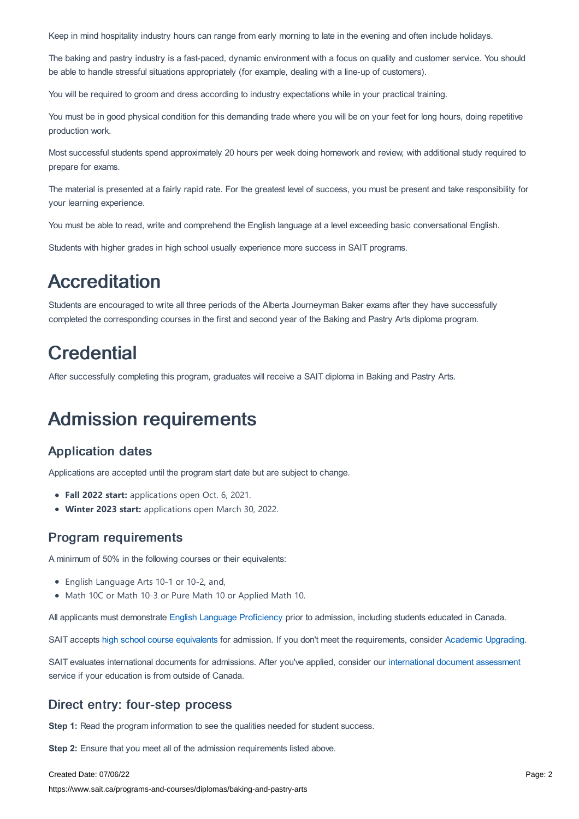Keep in mind hospitality industry hours can range from early morning to late in the evening and often include holidays.

The baking and pastry industry is a fast-paced, dynamic environment with a focus on quality and customer service. You should be able to handle stressful situations appropriately (for example, dealing with a line-up of customers).

You will be required to groom and dress according to industry expectations while in your practical training.

You must be in good physical condition for this demanding trade where you will be on your feet for long hours, doing repetitive production work.

Most successful students spend approximately 20 hours per week doing homework and review, with additional study required to prepare for exams.

The material is presented at a fairly rapid rate. For the greatest level of success, you must be present and take responsibility for your learning experience.

You must be able to read, write and comprehend the English language at a level exceeding basic conversational English.

Students with higher grades in high school usually experience more success in SAIT programs.

## **Accreditation**

Students are encouraged to write all three periods of the Alberta Journeyman Baker exams after they have successfully completed the corresponding courses in the first and second year of the Baking and Pastry Arts diploma program.

## **Credential**

After successfully completing this program, graduates will receive a SAIT diploma in Baking and Pastry Arts.

## Admission requirements

### Application dates

Applications are accepted until the program start date but are subject to change.

- **Fall 2022 start:** applications open Oct. 6, 2021.
- **Winter 2023 start:** applications open March 30, 2022.

### Program requirements

A minimum of 50% in the following courses or their equivalents:

- English Language Arts 10-1 or 10-2, and,
- Math 10C or Math 10-3 or Pure Math 10 or Applied Math 10.

All applicants must demonstrate English Language [Proficiency](https://www.sait.ca/admissions/before-you-apply/english-proficiency) prior to admission, including students educated in Canada.

SAIT accepts high school course [equivalents](https://www.sait.ca/admissions/before-you-apply/high-school-course-equivalencies) for admission. If you don't meet the requirements, consider Academic [Upgrading.](https://www.sait.ca/programs-and-courses/academic-upgrading)

SAIT evaluates international documents for admissions. After you've applied, consider our [international](https://www.sait.ca/admissions/after-you-apply/international-document-assessment) document assessment service if your education is from outside of Canada.

### Direct entry: four-step process

**Step 1:** Read the program information to see the qualities needed for student success.

**Step 2:** Ensure that you meet all of the admission requirements listed above.

#### Created Date: 07/06/22

https://www.sait.ca/programs-and-courses/diplomas/baking-and-pastry-arts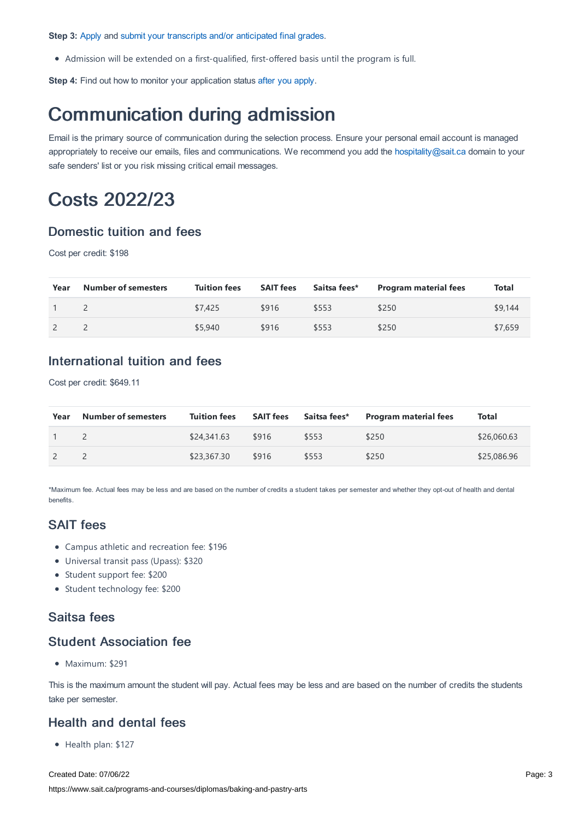**Step 3:** [Apply](https://www.sait.ca/admissions/apply) and submit your transcripts and/or [anticipated](https://www.sait.ca/admissions/after-you-apply/transcripts-and-supporting-documents) final grades.

Admission will be extended on a first-qualified, first-offered basis until the program is full.

**Step 4:** Find out how to monitor your application status after you [apply](https://www.sait.ca/admissions/after-you-apply/tracking-your-application).

## Communication during admission

Email is the primary source of communication during the selection process. Ensure your personal email account is managed appropriately to receive our emails, files and communications. We recommend you add the [hospitality@sait.ca](https://sait.camailto:hospitality@sait.ca) domain to your safe senders' list or you risk missing critical email messages.

## Costs 2022/23

## Domestic tuition and fees

Cost per credit: \$198

| Year | <b>Number of semesters</b> | <b>Tuition fees</b> | <b>SAIT fees</b> | Saitsa fees* | <b>Program material fees</b> | Total   |
|------|----------------------------|---------------------|------------------|--------------|------------------------------|---------|
|      |                            | \$7,425             | \$916            | \$553        | \$250                        | \$9,144 |
|      |                            | \$5,940             | \$916            | \$553        | \$250                        | \$7,659 |

## International tuition and fees

Cost per credit: \$649.11

| Year | <b>Number of semesters</b> | <b>Tuition fees</b> |       | <b>SAIT fees</b> Saitsa fees* | Program material fees | Total       |
|------|----------------------------|---------------------|-------|-------------------------------|-----------------------|-------------|
|      |                            | \$24,341.63         | \$916 | \$553                         | \$250                 | \$26,060.63 |
|      |                            | \$23,367.30         | \$916 | \$553                         | \$250                 | \$25,086.96 |

\*Maximum fee. Actual fees may be less and are based on the number of credits a student takes per semester and whether they opt-out of health and dental benefits.

## SAIT fees

- Campus athletic and recreation fee: \$196
- Universal transit pass (Upass): \$320
- Student support fee: \$200
- Student technology fee: \$200

## Saitsa fees

## Student Association fee

Maximum: \$291

This is the maximum amount the student will pay. Actual fees may be less and are based on the number of credits the students take per semester.

### Health and dental fees

• Health plan: \$127

Created Date: 07/06/22 https://www.sait.ca/programs-and-courses/diplomas/baking-and-pastry-arts